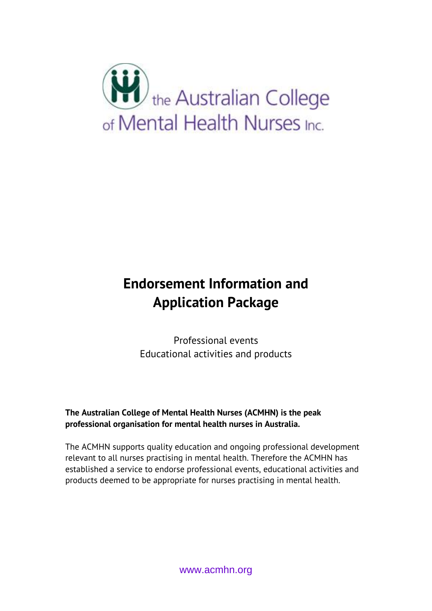

## **Endorsement Information and Application Package**

Professional events Educational activities and products

**The Australian College of Mental Health Nurses (ACMHN) is the peak professional organisation for mental health nurses in Australia.**

The ACMHN supports quality education and ongoing professional development relevant to all nurses practising in mental health. Therefore the ACMHN has established a service to endorse professional events, educational activities and products deemed to be appropriate for nurses practising in mental health.

www.acmhn.org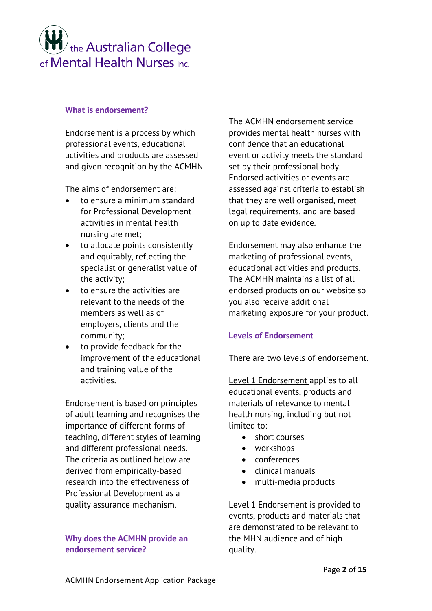## the Australian College of Mental Health Nurses Inc.

## **What is endorsement?**

Endorsement is a process by which professional events, educational activities and products are assessed and given recognition by the ACMHN.

The aims of endorsement are:

- to ensure a minimum standard for Professional Development activities in mental health nursing are met;
- to allocate points consistently and equitably, reflecting the specialist or generalist value of the activity;
- to ensure the activities are relevant to the needs of the members as well as of employers, clients and the community;
- to provide feedback for the improvement of the educational and training value of the activities.

Endorsement is based on principles of adult learning and recognises the importance of different forms of teaching, different styles of learning and different professional needs. The criteria as outlined below are derived from empirically-based research into the effectiveness of Professional Development as a quality assurance mechanism.

## **Why does the ACMHN provide an endorsement service?**

The ACMHN endorsement service provides mental health nurses with confidence that an educational event or activity meets the standard set by their professional body. Endorsed activities or events are assessed against criteria to establish that they are well organised, meet legal requirements, and are based on up to date evidence.

Endorsement may also enhance the marketing of professional events, educational activities and products. The ACMHN maintains a list of all endorsed products on our website so you also receive additional marketing exposure for your product.

## **Levels of Endorsement**

There are two levels of endorsement.

Level 1 Endorsement applies to all educational events, products and materials of relevance to mental health nursing, including but not limited to:

- short courses
- workshops
- conferences
- clinical manuals
- multi-media products

Level 1 Endorsement is provided to events, products and materials that are demonstrated to be relevant to the MHN audience and of high quality.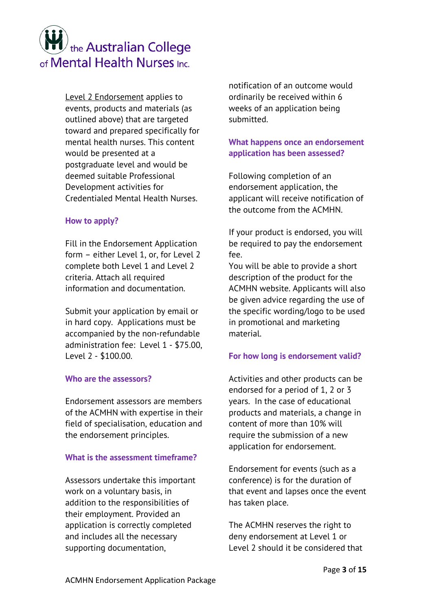# the Australian College of Mental Health Nurses Inc.

Level 2 Endorsement applies to events, products and materials (as outlined above) that are targeted toward and prepared specifically for mental health nurses. This content would be presented at a postgraduate level and would be deemed suitable Professional Development activities for Credentialed Mental Health Nurses.

## **How to apply?**

Fill in the Endorsement Application form – either Level 1, or, for Level 2 complete both Level 1 and Level 2 criteria. Attach all required information and documentation.

Submit your application by email or in hard copy. Applications must be accompanied by the non-refundable administration fee: Level 1 - \$75.00, Level 2 - \$100.00.

## **Who are the assessors?**

Endorsement assessors are members of the ACMHN with expertise in their field of specialisation, education and the endorsement principles.

## **What is the assessment timeframe?**

Assessors undertake this important work on a voluntary basis, in addition to the responsibilities of their employment. Provided an application is correctly completed and includes all the necessary supporting documentation,

notification of an outcome would ordinarily be received within 6 weeks of an application being submitted.

## **What happens once an endorsement application has been assessed?**

Following completion of an endorsement application, the applicant will receive notification of the outcome from the ACMHN.

If your product is endorsed, you will be required to pay the endorsement fee.

You will be able to provide a short description of the product for the ACMHN website. Applicants will also be given advice regarding the use of the specific wording/logo to be used in promotional and marketing material.

## **For how long is endorsement valid?**

Activities and other products can be endorsed for a period of 1, 2 or 3 years. In the case of educational products and materials, a change in content of more than 10% will require the submission of a new application for endorsement.

Endorsement for events (such as a conference) is for the duration of that event and lapses once the event has taken place.

The ACMHN reserves the right to deny endorsement at Level 1 or Level 2 should it be considered that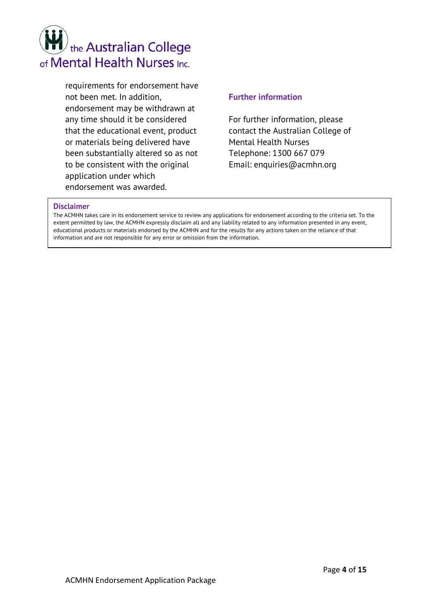# the Australian College of Mental Health Nurses Inc.

requirements for endorsement have not been met. In addition, endorsement may be withdrawn at any time should it be considered that the educational event, product or materials being delivered have been substantially altered so as not to be consistent with the original application under which endorsement was awarded.

## **Further information**

For further information, please contact the Australian College of Mental Health Nurses Telephone: 1300 667 079 Email: enquiries@acmhn.org

#### **Disclaimer**

The ACMHN takes care in its endorsement service to review any applications for endorsement according to the criteria set. To the extent permitted by law, the ACMHN expressly disclaim all and any liability related to any information presented in any event, educational products or materials endorsed by the ACMHN and for the results for any actions taken on the reliance of that information and are not responsible for any error or omission from the information.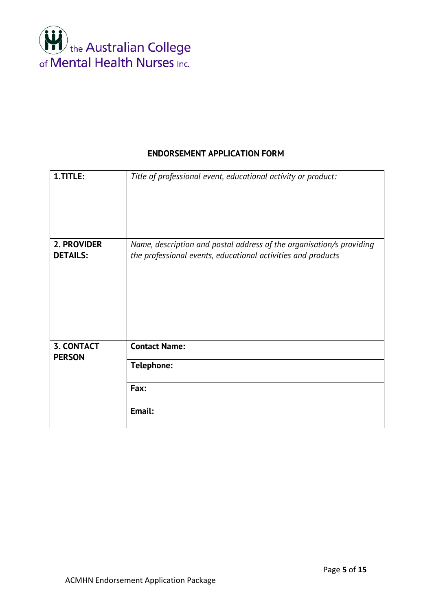

## **ENDORSEMENT APPLICATION FORM**

| 1.TITLE:                           | Title of professional event, educational activity or product:                                                                        |
|------------------------------------|--------------------------------------------------------------------------------------------------------------------------------------|
| 2. PROVIDER<br><b>DETAILS:</b>     | Name, description and postal address of the organisation/s providing<br>the professional events, educational activities and products |
| <b>3. CONTACT</b><br><b>PERSON</b> | <b>Contact Name:</b>                                                                                                                 |
|                                    | Telephone:                                                                                                                           |
|                                    | Fax:                                                                                                                                 |
|                                    | Email:                                                                                                                               |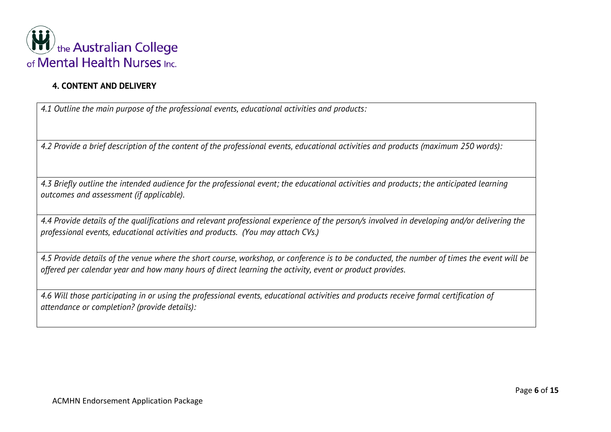

## **4. CONTENT AND DELIVERY**

*4.1 Outline the main purpose of the professional events, educational activities and products:*

*4.2 Provide a brief description of the content of the professional events, educational activities and products (maximum 250 words):*

*4.3 Briefly outline the intended audience for the professional event; the educational activities and products; the anticipated learning outcomes and assessment (if applicable).*

*4.4 Provide details of the qualifications and relevant professional experience of the person/s involved in developing and/or delivering the professional events, educational activities and products. (You may attach CVs.)*

*4.5 Provide details of the venue where the short course, workshop, or conference is to be conducted, the number of times the event will be offered per calendar year and how many hours of direct learning the activity, event or product provides.*

*4.6 Will those participating in or using the professional events, educational activities and products receive formal certification of attendance or completion? (provide details):*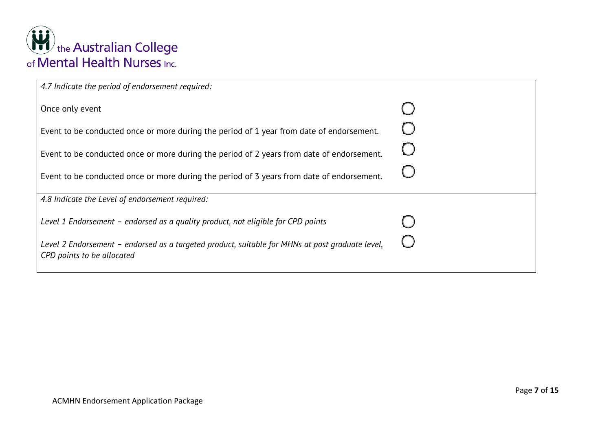

| 4.7 Indicate the period of endorsement required:                                                                              |  |
|-------------------------------------------------------------------------------------------------------------------------------|--|
| Once only event                                                                                                               |  |
| Event to be conducted once or more during the period of 1 year from date of endorsement.                                      |  |
| Event to be conducted once or more during the period of 2 years from date of endorsement.                                     |  |
| Event to be conducted once or more during the period of 3 years from date of endorsement.                                     |  |
| 4.8 Indicate the Level of endorsement required:                                                                               |  |
| Level 1 Endorsement - endorsed as a quality product, not eligible for CPD points                                              |  |
| Level 2 Endorsement - endorsed as a targeted product, suitable for MHNs at post graduate level,<br>CPD points to be allocated |  |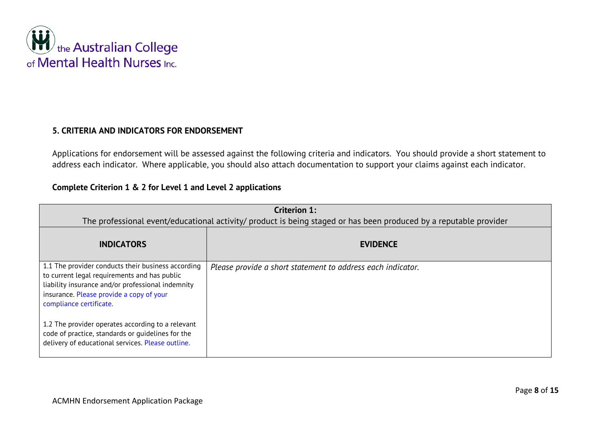

## **5. CRITERIA AND INDICATORS FOR ENDORSEMENT**

Applications for endorsement will be assessed against the following criteria and indicators. You should provide a short statement to address each indicator. Where applicable, you should also attach documentation to support your claims against each indicator.

## **Complete Criterion 1 & 2 for Level 1 and Level 2 applications**

|                                                                                                                                                                                                                                | <b>Criterion 1:</b><br>The professional event/educational activity/ product is being staged or has been produced by a reputable provider |
|--------------------------------------------------------------------------------------------------------------------------------------------------------------------------------------------------------------------------------|------------------------------------------------------------------------------------------------------------------------------------------|
| <b>INDICATORS</b>                                                                                                                                                                                                              | <b>EVIDENCE</b>                                                                                                                          |
| 1.1 The provider conducts their business according<br>to current legal requirements and has public<br>liability insurance and/or professional indemnity<br>insurance. Please provide a copy of your<br>compliance certificate. | Please provide a short statement to address each indicator.                                                                              |
| 1.2 The provider operates according to a relevant<br>code of practice, standards or quidelines for the<br>delivery of educational services. Please outline.                                                                    |                                                                                                                                          |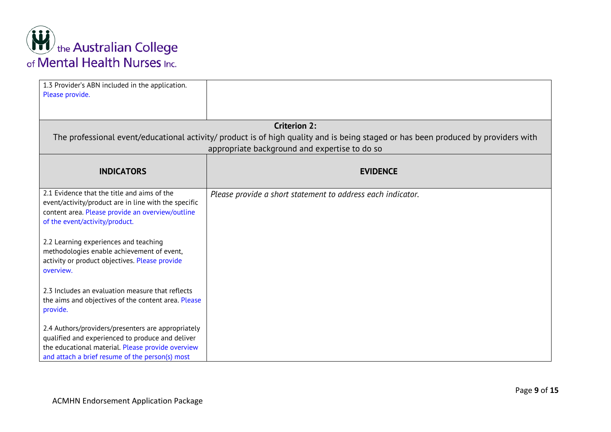

| 1.3 Provider's ABN included in the application.<br>Please provide.                                                                                                                                             |                                                                                                                                                                                     |
|----------------------------------------------------------------------------------------------------------------------------------------------------------------------------------------------------------------|-------------------------------------------------------------------------------------------------------------------------------------------------------------------------------------|
|                                                                                                                                                                                                                |                                                                                                                                                                                     |
|                                                                                                                                                                                                                | <b>Criterion 2:</b>                                                                                                                                                                 |
|                                                                                                                                                                                                                | The professional event/educational activity/ product is of high quality and is being staged or has been produced by providers with<br>appropriate background and expertise to do so |
| <b>INDICATORS</b>                                                                                                                                                                                              | <b>EVIDENCE</b>                                                                                                                                                                     |
| 2.1 Evidence that the title and aims of the<br>event/activity/product are in line with the specific<br>content area. Please provide an overview/outline<br>of the event/activity/product.                      | Please provide a short statement to address each indicator.                                                                                                                         |
| 2.2 Learning experiences and teaching<br>methodologies enable achievement of event,<br>activity or product objectives. Please provide<br>overview.                                                             |                                                                                                                                                                                     |
| 2.3 Includes an evaluation measure that reflects<br>the aims and objectives of the content area. Please<br>provide.                                                                                            |                                                                                                                                                                                     |
| 2.4 Authors/providers/presenters are appropriately<br>qualified and experienced to produce and deliver<br>the educational material. Please provide overview<br>and attach a brief resume of the person(s) most |                                                                                                                                                                                     |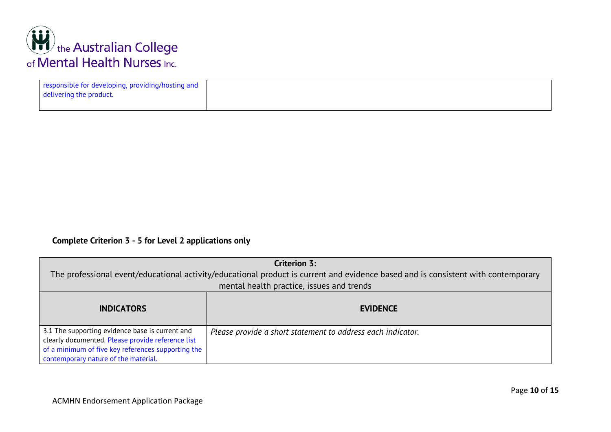

| responsible for developing, providing/hosting and<br>delivering the product. |  |
|------------------------------------------------------------------------------|--|
|                                                                              |  |

## **Complete Criterion 3 - 5 for Level 2 applications only**

|                                                                                                      | <b>Criterion 3:</b>                                                                                                               |
|------------------------------------------------------------------------------------------------------|-----------------------------------------------------------------------------------------------------------------------------------|
|                                                                                                      | The professional event/educational activity/educational product is current and evidence based and is consistent with contemporary |
|                                                                                                      | mental health practice, issues and trends                                                                                         |
| <b>INDICATORS</b>                                                                                    | <b>EVIDENCE</b>                                                                                                                   |
| 3.1 The supporting evidence base is current and<br>clearly documented. Please provide reference list | Please provide a short statement to address each indicator.                                                                       |
| of a minimum of five key references supporting the                                                   |                                                                                                                                   |
| contemporary nature of the material.                                                                 |                                                                                                                                   |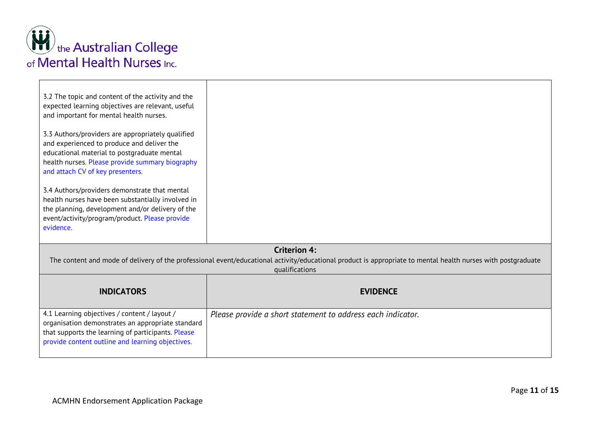

| 3.2 The topic and content of the activity and the<br>expected learning objectives are relevant, useful<br>and important for mental health nurses.<br>3.3 Authors/providers are appropriately qualified<br>and experienced to produce and deliver the<br>educational material to postgraduate mental<br>health nurses. Please provide summary biography<br>and attach CV of key presenters.<br>3.4 Authors/providers demonstrate that mental<br>health nurses have been substantially involved in<br>the planning, development and/or delivery of the<br>event/activity/program/product. Please provide<br>evidence. |                                                                                                                                                                                                       |
|---------------------------------------------------------------------------------------------------------------------------------------------------------------------------------------------------------------------------------------------------------------------------------------------------------------------------------------------------------------------------------------------------------------------------------------------------------------------------------------------------------------------------------------------------------------------------------------------------------------------|-------------------------------------------------------------------------------------------------------------------------------------------------------------------------------------------------------|
|                                                                                                                                                                                                                                                                                                                                                                                                                                                                                                                                                                                                                     | <b>Criterion 4:</b><br>The content and mode of delivery of the professional event/educational activity/educational product is appropriate to mental health nurses with postgraduate<br>qualifications |
| <b>INDICATORS</b>                                                                                                                                                                                                                                                                                                                                                                                                                                                                                                                                                                                                   | <b>EVIDENCE</b>                                                                                                                                                                                       |
| 4.1 Learning objectives / content / layout /<br>organisation demonstrates an appropriate standard<br>that supports the learning of participants. Please<br>provide content outline and learning objectives.                                                                                                                                                                                                                                                                                                                                                                                                         | Please provide a short statement to address each indicator.                                                                                                                                           |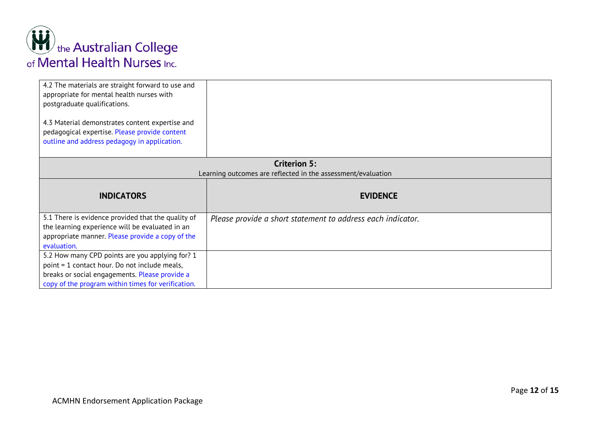

| 4.2 The materials are straight forward to use and<br>appropriate for mental health nurses with<br>postgraduate qualifications.<br>4.3 Material demonstrates content expertise and<br>pedagogical expertise. Please provide content<br>outline and address pedagogy in application. |                                                              |
|------------------------------------------------------------------------------------------------------------------------------------------------------------------------------------------------------------------------------------------------------------------------------------|--------------------------------------------------------------|
|                                                                                                                                                                                                                                                                                    |                                                              |
|                                                                                                                                                                                                                                                                                    | <b>Criterion 5:</b>                                          |
|                                                                                                                                                                                                                                                                                    | Learning outcomes are reflected in the assessment/evaluation |
| <b>INDICATORS</b>                                                                                                                                                                                                                                                                  | <b>EVIDENCE</b>                                              |
| 5.1 There is evidence provided that the quality of<br>the learning experience will be evaluated in an<br>appropriate manner. Please provide a copy of the<br>evaluation.                                                                                                           | Please provide a short statement to address each indicator.  |
|                                                                                                                                                                                                                                                                                    |                                                              |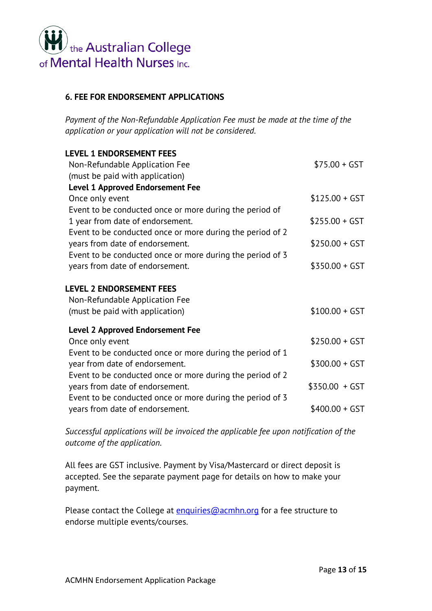

## **6. FEE FOR ENDORSEMENT APPLICATIONS**

*Payment of the Non-Refundable Application Fee must be made at the time of the application or your application will not be considered.* 

| <b>LEVEL 1 ENDORSEMENT FEES</b>                                   |                 |
|-------------------------------------------------------------------|-----------------|
| Non-Refundable Application Fee                                    | $$75.00 + GST$  |
| (must be paid with application)                                   |                 |
| <b>Level 1 Approved Endorsement Fee</b>                           |                 |
| Once only event                                                   | $$125.00 + GST$ |
| Event to be conducted once or more during the period of           |                 |
| 1 year from date of endorsement.                                  | $$255.00 + GST$ |
| Event to be conducted once or more during the period of 2         |                 |
| years from date of endorsement.                                   | $$250.00 + GST$ |
| Event to be conducted once or more during the period of 3         |                 |
| years from date of endorsement.                                   | $$350.00 + GST$ |
| <b>LEVEL 2 ENDORSEMENT FEES</b><br>Non-Refundable Application Fee |                 |
| (must be paid with application)                                   | $$100.00 + GST$ |
| <b>Level 2 Approved Endorsement Fee</b>                           |                 |
| Once only event                                                   | $$250.00 + GST$ |
| Event to be conducted once or more during the period of 1         |                 |
| year from date of endorsement.                                    | $$300.00 + GST$ |
| Event to be conducted once or more during the period of 2         |                 |
| years from date of endorsement.                                   | $$350.00 + GST$ |
| Event to be conducted once or more during the period of 3         |                 |
| years from date of endorsement.                                   | $$400.00 + GST$ |
|                                                                   |                 |

*Successful applications will be invoiced the applicable fee upon notification of the outcome of the application.* 

All fees are GST inclusive. Payment by Visa/Mastercard or direct deposit is accepted. See the separate payment page for details on how to make your payment.

Please contact the College at [enquiries@acmhn.org](mailto:enquiries@acmhn.org) for a fee structure to endorse multiple events/courses.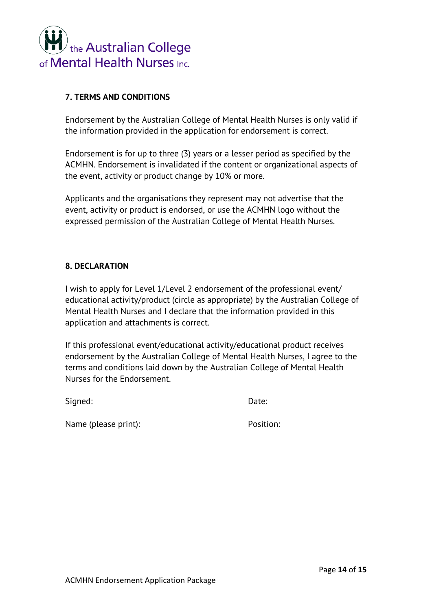

## **7. TERMS AND CONDITIONS**

Endorsement by the Australian College of Mental Health Nurses is only valid if the information provided in the application for endorsement is correct.

Endorsement is for up to three (3) years or a lesser period as specified by the ACMHN. Endorsement is invalidated if the content or organizational aspects of the event, activity or product change by 10% or more.

Applicants and the organisations they represent may not advertise that the event, activity or product is endorsed, or use the ACMHN logo without the expressed permission of the Australian College of Mental Health Nurses.

## **8. DECLARATION**

I wish to apply for Level 1/Level 2 endorsement of the professional event/ educational activity/product (circle as appropriate) by the Australian College of Mental Health Nurses and I declare that the information provided in this application and attachments is correct.

If this professional event/educational activity/educational product receives endorsement by the Australian College of Mental Health Nurses, I agree to the terms and conditions laid down by the Australian College of Mental Health Nurses for the Endorsement.

Signed: Date:

Name (please print): Position: